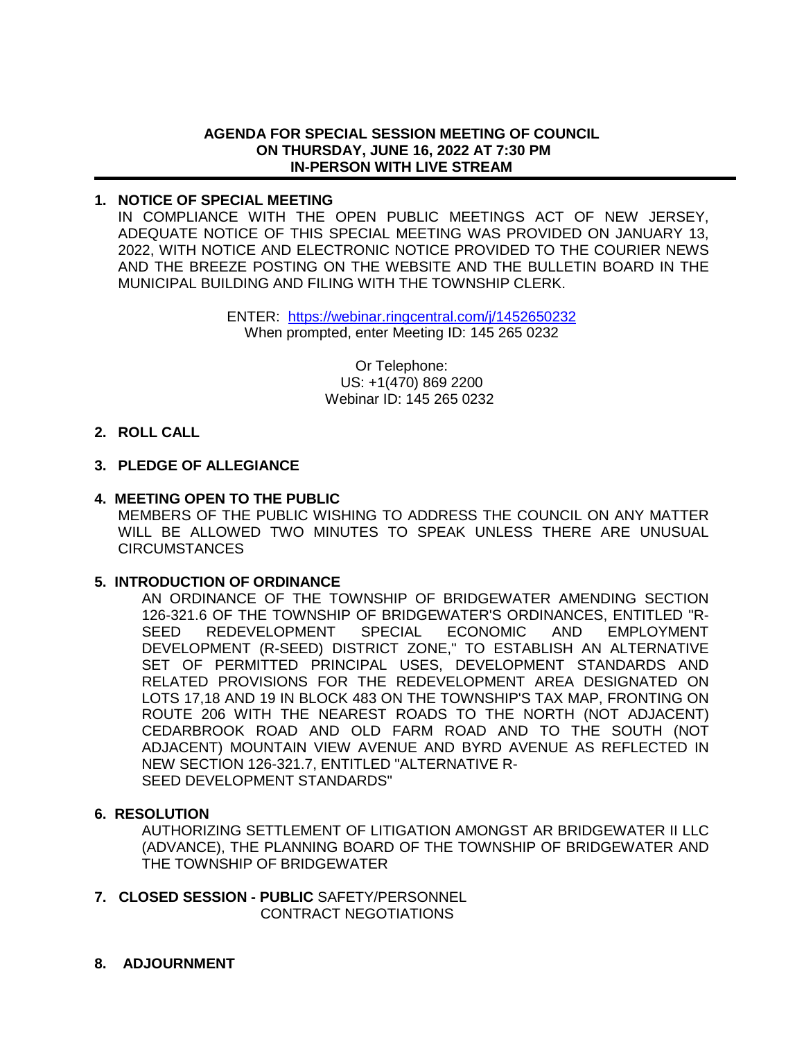### **AGENDA FOR SPECIAL SESSION MEETING OF COUNCIL ON THURSDAY, JUNE 16, 2022 AT 7:30 PM IN-PERSON WITH LIVE STREAM**

# **1. NOTICE OF SPECIAL MEETING**

IN COMPLIANCE WITH THE OPEN PUBLIC MEETINGS ACT OF NEW JERSEY, ADEQUATE NOTICE OF THIS SPECIAL MEETING WAS PROVIDED ON JANUARY 13, 2022, WITH NOTICE AND ELECTRONIC NOTICE PROVIDED TO THE COURIER NEWS AND THE BREEZE POSTING ON THE WEBSITE AND THE BULLETIN BOARD IN THE MUNICIPAL BUILDING AND FILING WITH THE TOWNSHIP CLERK.

> ENTER: <https://webinar.ringcentral.com/j/1452650232> When prompted, enter Meeting ID: 145 265 0232

> > Or Telephone: US: +1(470) 869 2200 Webinar ID: 145 265 0232

# **2. ROLL CALL**

# **3. PLEDGE OF ALLEGIANCE**

### **4. MEETING OPEN TO THE PUBLIC**

MEMBERS OF THE PUBLIC WISHING TO ADDRESS THE COUNCIL ON ANY MATTER WILL BE ALLOWED TWO MINUTES TO SPEAK UNLESS THERE ARE UNUSUAL **CIRCUMSTANCES** 

# **5. INTRODUCTION OF ORDINANCE**

AN ORDINANCE OF THE TOWNSHIP OF BRIDGEWATER AMENDING SECTION 126-321.6 OF THE TOWNSHIP OF BRIDGEWATER'S ORDINANCES, ENTITLED "R-SEED REDEVELOPMENT SPECIAL ECONOMIC AND EMPLOYMENT DEVELOPMENT (R-SEED) DISTRICT ZONE," TO ESTABLISH AN ALTERNATIVE SET OF PERMITTED PRINCIPAL USES, DEVELOPMENT STANDARDS AND RELATED PROVISIONS FOR THE REDEVELOPMENT AREA DESIGNATED ON LOTS 17,18 AND 19 IN BLOCK 483 ON THE TOWNSHIP'S TAX MAP, FRONTING ON ROUTE 206 WITH THE NEAREST ROADS TO THE NORTH (NOT ADJACENT) CEDARBROOK ROAD AND OLD FARM ROAD AND TO THE SOUTH (NOT ADJACENT) MOUNTAIN VIEW AVENUE AND BYRD AVENUE AS REFLECTED IN NEW SECTION 126-321.7, ENTITLED "ALTERNATIVE R-SEED DEVELOPMENT STANDARDS"

### **6. RESOLUTION**

AUTHORIZING SETTLEMENT OF LITIGATION AMONGST AR BRIDGEWATER II LLC (ADVANCE), THE PLANNING BOARD OF THE TOWNSHIP OF BRIDGEWATER AND THE TOWNSHIP OF BRIDGEWATER

- **7. CLOSED SESSION PUBLIC** SAFETY/PERSONNEL CONTRACT NEGOTIATIONS
- **8. ADJOURNMENT**